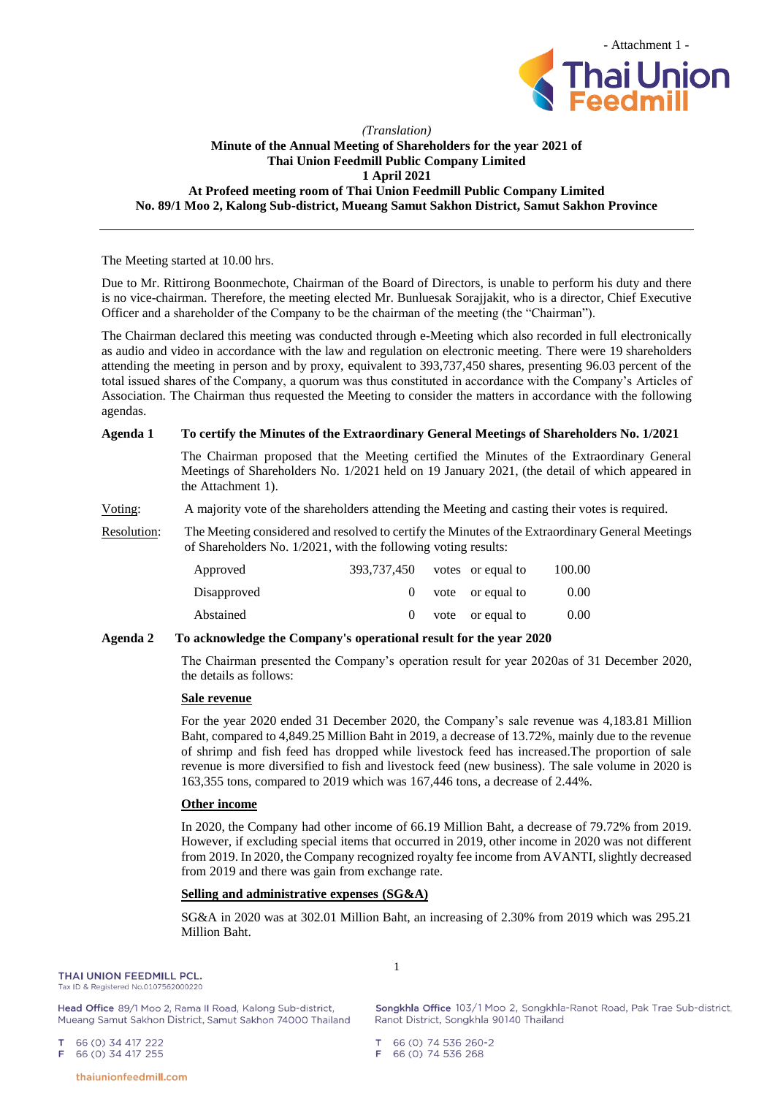

## *(Translation)* **Minute of the Annual Meeting of Shareholders for the year 2021 of Thai Union Feedmill Public Company Limited 1 April 2021 At Profeed meeting room of Thai Union Feedmill Public Company Limited No. 89/1 Moo 2, Kalong Sub-district, Mueang Samut Sakhon District, Samut Sakhon Province**

The Meeting started at 10.00 hrs.

Due to Mr. Rittirong Boonmechote, Chairman of the Board of Directors, is unable to perform his duty and there is no vice-chairman. Therefore, the meeting elected Mr. Bunluesak Sorajjakit, who is a director, Chief Executive Officer and a shareholder of the Company to be the chairman of the meeting (the "Chairman").

The Chairman declared this meeting was conducted through e-Meeting which also recorded in full electronically as audio and video in accordance with the law and regulation on electronic meeting. There were 19 shareholders attending the meeting in person and by proxy, equivalent to 393,737,450 shares, presenting 96.03 percent of the total issued shares of the Company, a quorum was thus constituted in accordance with the Company's Articles of Association. The Chairman thus requested the Meeting to consider the matters in accordance with the following agendas.

# **Agenda 1 To certify the Minutes of the Extraordinary General Meetings of Shareholders No. 1/2021**

The Chairman proposed that the Meeting certified the Minutes of the Extraordinary General Meetings of Shareholders No. 1/2021 held on 19 January 2021, (the detail of which appeared in the Attachment 1).

## Voting: A majority vote of the shareholders attending the Meeting and casting their votes is required.

Resolution: The Meeting considered and resolved to certify the Minutes of the Extraordinary General Meetings of Shareholders No. 1/2021, with the following voting results:

| Approved    | 393,737,450 votes or equal to |                      | 100.00 |
|-------------|-------------------------------|----------------------|--------|
| Disapproved |                               | $0$ vote or equal to | 0.00   |
| Abstained   |                               | vote or equal to     | 0.00   |

# **Agenda 2 To acknowledge the Company's operational result for the year 2020**

The Chairman presented the Company's operation result for year 2020as of 31 December 2020, the details as follows:

### **Sale revenue**

For the year 2020 ended 31 December 2020, the Company's sale revenue was 4,183.81 Million Baht, compared to 4,849.25 Million Baht in 2019, a decrease of 13.72%, mainly due to the revenue of shrimp and fish feed has dropped while livestock feed has increased.The proportion of sale revenue is more diversified to fish and livestock feed (new business). The sale volume in 2020 is 163,355 tons, compared to 2019 which was 167,446 tons, a decrease of 2.44%.

### **Other income**

In 2020, the Company had other income of 66.19 Million Baht, a decrease of 79.72% from 2019. However, if excluding special items that occurred in 2019, other income in 2020 was not different from 2019. In 2020, the Company recognized royalty fee income from AVANTI, slightly decreased from 2019 and there was gain from exchange rate.

# **Selling and administrative expenses (SG&A)**

SG&A in 2020 was at 302.01 Million Baht, an increasing of 2.30% from 2019 which was 295.21 Million Baht.

### THAI UNION FEEDMILL PCL.

Tax ID & Registered No.0107562000220

Head Office 89/1 Moo 2, Rama II Road, Kalong Sub-district, Mueang Samut Sakhon District, Samut Sakhon 74000 Thailand

66 (0) 34 417 222 T 66 (0) 34 417 255 Е

1

Songkhla Office 103/1 Moo 2, Songkhla-Ranot Road, Pak Trae Sub-district, Ranot District, Songkhla 90140 Thailand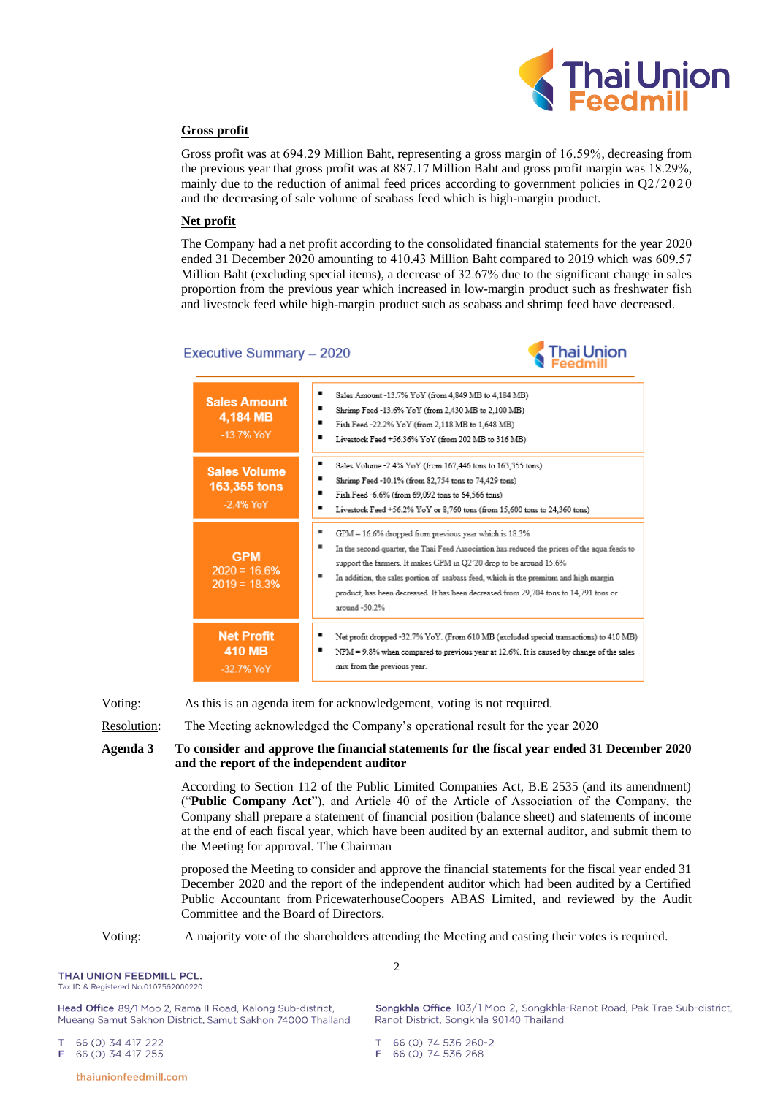

# **Gross profit**

Gross profit was at 694.29 Million Baht, representing a gross margin of 16.59%, decreasing from the previous year that gross profit was at 887.17 Million Baht and gross profit margin was 18.29%, mainly due to the reduction of animal feed prices according to government policies in Q2/2020 and the decreasing of sale volume of seabass feed which is high-margin product.

## **Net profit**

The Company had a net profit according to the consolidated financial statements for the year 2020 ended 31 December 2020 amounting to 410.43 Million Baht compared to 2019 which was 609.57 Million Baht (excluding special items), a decrease of 32.67% due to the significant change in sales proportion from the previous year which increased in low-margin product such as freshwater fish and livestock feed while high-margin product such as seabass and shrimp feed have decreased.

# Executive Summary - 2020



**Net Profit**  $\blacksquare$ Net profit dropped -32.7% YoY. (From 610 MB (excluded special transactions) to 410 MB)  $\blacksquare$ **410 MB** NPM = 9.8% when compared to previous year at 12.6%. It is caused by change of the sales mix from the previous year. -32.7% YoY

Voting: As this is an agenda item for acknowledgement, voting is not required.

Resolution: The Meeting acknowledged the Company's operational result for the year 2020

**Agenda 3 To consider and approve the financial statements for the fiscal year ended 31 December 2020 and the report of the independent auditor**

> According to Section 112 of the Public Limited Companies Act, B.E 2535 (and its amendment) ("**Public Company Act**"), and Article 40 of the Article of Association of the Company, the Company shall prepare a statement of financial position (balance sheet) and statements of income at the end of each fiscal year, which have been audited by an external auditor, and submit them to the Meeting for approval. The Chairman

> proposed the Meeting to consider and approve the financial statements for the fiscal year ended 31 December 2020 and the report of the independent auditor which had been audited by a Certified Public Accountant from PricewaterhouseCoopers ABAS Limited, and reviewed by the Audit Committee and the Board of Directors.

### Voting: A majority vote of the shareholders attending the Meeting and casting their votes is required.

 $\mathfrak{D}$ 

THAI UNION FEEDMILL PCL.

Tax ID & Registered No.0107562000220

Head Office 89/1 Moo 2, Rama II Road, Kalong Sub-district, Mueang Samut Sakhon District, Samut Sakhon 74000 Thailand

66 (0) 34 417 222 66 (0) 34 417 255 E

Songkhla Office 103/1 Moo 2, Songkhla-Ranot Road, Pak Trae Sub-district, Ranot District, Songkhla 90140 Thailand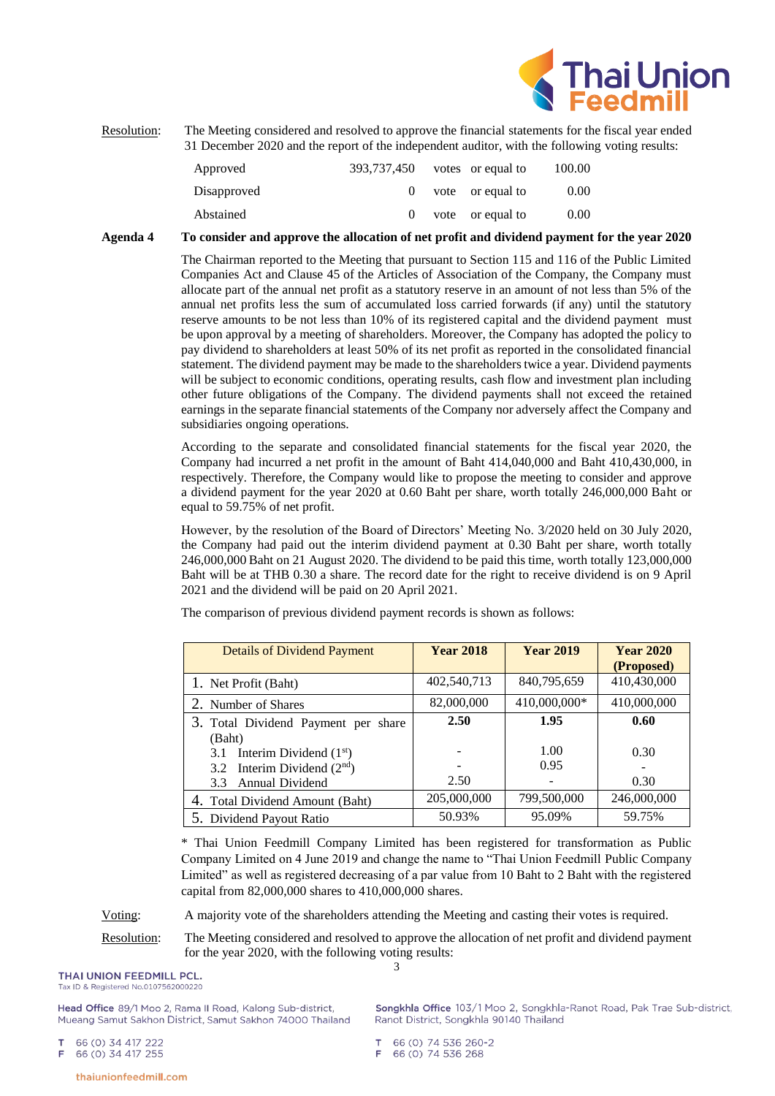

Resolution: The Meeting considered and resolved to approve the financial statements for the fiscal year ended 31 December 2020 and the report of the independent auditor, with the following voting results:

| Approved    | 393.737.450 | votes or equal to    | 100.00 |
|-------------|-------------|----------------------|--------|
| Disapproved |             | $0$ vote or equal to | 0.00   |
| Abstained   |             | vote or equal to     | 0.00   |

### **Agenda 4 To consider and approve the allocation of net profit and dividend payment for the year 2020**

The Chairman reported to the Meeting that pursuant to Section 115 and 116 of the Public Limited Companies Act and Clause 45 of the Articles of Association of the Company, the Company must allocate part of the annual net profit as a statutory reserve in an amount of not less than 5% of the annual net profits less the sum of accumulated loss carried forwards (if any) until the statutory reserve amounts to be not less than 10% of its registered capital and the dividend payment must be upon approval by a meeting of shareholders. Moreover, the Company has adopted the policy to pay dividend to shareholders at least 50% of its net profit as reported in the consolidated financial statement. The dividend payment may be made to the shareholders twice a year. Dividend payments will be subject to economic conditions, operating results, cash flow and investment plan including other future obligations of the Company. The dividend payments shall not exceed the retained earnings in the separate financial statements of the Company nor adversely affect the Company and subsidiaries ongoing operations.

According to the separate and consolidated financial statements for the fiscal year 2020, the Company had incurred a net profit in the amount of Baht 414,040,000 and Baht 410,430,000, in respectively. Therefore, the Company would like to propose the meeting to consider and approve a dividend payment for the year 2020 at 0.60 Baht per share, worth totally 246,000,000 Baht or equal to 59.75% of net profit.

However, by the resolution of the Board of Directors' Meeting No. 3/2020 held on 30 July 2020, the Company had paid out the interim dividend payment at 0.30 Baht per share, worth totally 246,000,000 Baht on 21 August 2020. The dividend to be paid this time, worth totally 123,000,000 Baht will be at THB 0.30 a share. The record date for the right to receive dividend is on 9 April 2021 and the dividend will be paid on 20 April 2021.

| <b>Details of Dividend Payment</b>                            | <b>Year 2018</b> | <b>Year 2019</b> | <b>Year 2020</b><br>(Proposed) |
|---------------------------------------------------------------|------------------|------------------|--------------------------------|
| 1. Net Profit (Baht)                                          | 402,540,713      | 840,795,659      | 410,430,000                    |
| 2. Number of Shares                                           | 82,000,000       | 410,000,000*     | 410,000,000                    |
| 3. Total Dividend Payment per share<br>(Baht)                 | 2.50             | 1.95             | 0.60                           |
| Interim Dividend $(1st)$<br>3.1                               |                  | 1.00<br>0.95     | 0.30                           |
| 3.2 Interim Dividend $(2nd)$<br><b>Annual Dividend</b><br>3.3 | 2.50             |                  | 0.30                           |
| 4. Total Dividend Amount (Baht)                               | 205,000,000      | 799,500,000      | 246,000,000                    |
| 5. Dividend Payout Ratio                                      | 50.93%           | 95.09%           | 59.75%                         |

The comparison of previous dividend payment records is shown as follows:

\* Thai Union Feedmill Company Limited has been registered for transformation as Public Company Limited on 4 June 2019 and change the name to "Thai Union Feedmill Public Company Limited" as well as registered decreasing of a par value from 10 Baht to 2 Baht with the registered capital from 82,000,000 shares to 410,000,000 shares.

Voting: A majority vote of the shareholders attending the Meeting and casting their votes is required.

3 Resolution: The Meeting considered and resolved to approve the allocation of net profit and dividend payment for the year 2020, with the following voting results:

# THAI UNION FEEDMILL PCL.

Tax ID & Registered No.0107562000220

Head Office 89/1 Moo 2, Rama II Road, Kalong Sub-district, Mueang Samut Sakhon District, Samut Sakhon 74000 Thailand

66 (0) 34 417 222  $\mathbf T$ 66 (0) 34 417 255 Е

Songkhla Office 103/1 Moo 2, Songkhla-Ranot Road, Pak Trae Sub-district, Ranot District, Songkhla 90140 Thailand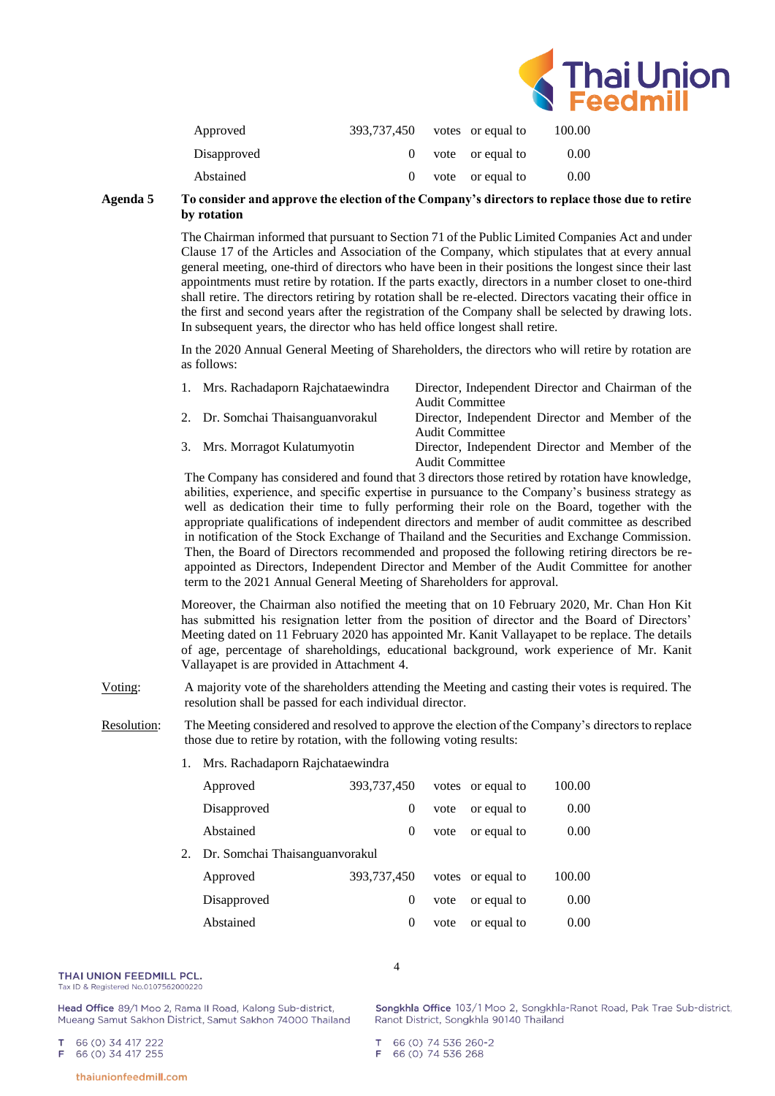

| Approved    | 393,737,450 votes or equal to |                      | 100.00 |
|-------------|-------------------------------|----------------------|--------|
| Disapproved |                               | $0$ vote or equal to | 0.00   |
| Abstained   |                               | vote or equal to     | 0.00   |

## **Agenda 5 To consider and approve the election of the Company's directors to replace those due to retire by rotation**

The Chairman informed that pursuant to Section 71 of the Public Limited Companies Act and under Clause 17 of the Articles and Association of the Company, which stipulates that at every annual general meeting, one-third of directors who have been in their positions the longest since their last appointments must retire by rotation. If the parts exactly, directors in a number closet to one-third shall retire. The directors retiring by rotation shall be re-elected. Directors vacating their office in the first and second years after the registration of the Company shall be selected by drawing lots. In subsequent years, the director who has held office longest shall retire.

In the 2020 Annual General Meeting of Shareholders, the directors who will retire by rotation are as follows:

| 1. Mrs. Rachadaporn Rajchataewindra | Director, Independent Director and Chairman of the<br><b>Audit Committee</b> |
|-------------------------------------|------------------------------------------------------------------------------|
| 2. Dr. Somchai Thaisanguanvorakul   | Director, Independent Director and Member of the<br><b>Audit Committee</b>   |
| 3. Mrs. Morragot Kulatumyotin       | Director, Independent Director and Member of the<br><b>Audit Committee</b>   |

The Company has considered and found that 3 directors those retired by rotation have knowledge, abilities, experience, and specific expertise in pursuance to the Company's business strategy as well as dedication their time to fully performing their role on the Board, together with the appropriate qualifications of independent directors and member of audit committee as described in notification of the Stock Exchange of Thailand and the Securities and Exchange Commission. Then, the Board of Directors recommended and proposed the following retiring directors be reappointed as Directors, Independent Director and Member of the Audit Committee for another term to the 2021 Annual General Meeting of Shareholders for approval.

Moreover, the Chairman also notified the meeting that on 10 February 2020, Mr. Chan Hon Kit has submitted his resignation letter from the position of director and the Board of Directors' Meeting dated on 11 February 2020 has appointed Mr. Kanit Vallayapet to be replace. The details of age, percentage of shareholdings, educational background, work experience of Mr. Kanit Vallayapet is are provided in Attachment 4.

- Voting: A majority vote of the shareholders attending the Meeting and casting their votes is required. The resolution shall be passed for each individual director.
- Resolution: The Meeting considered and resolved to approve the election of the Company's directors to replace those due to retire by rotation, with the following voting results:
	- 1. Mrs. Rachadaporn Rajchataewindra

| Approved                       | 393,737,450 |      | votes or equal to | 100.00 |
|--------------------------------|-------------|------|-------------------|--------|
| Disapproved                    | $\theta$    | vote | or equal to       | 0.00   |
| Abstained                      | $\theta$    | vote | or equal to       | 0.00   |
| Dr. Somchai Thaisanguanvorakul |             |      |                   |        |
| Approved                       | 393,737,450 |      | votes or equal to | 100.00 |
| Disapproved                    | $\theta$    | vote | or equal to       | 0.00   |
| Abstained                      | $\theta$    | vote | or equal to       | 0.00   |

4

#### THAI UNION FEEDMILL PCL.

Tax ID & Registered No.0107562000220

Head Office 89/1 Moo 2, Rama II Road, Kalong Sub-district, Mueang Samut Sakhon District, Samut Sakhon 74000 Thailand Songkhla Office 103/1 Moo 2, Songkhla-Ranot Road, Pak Trae Sub-district, Ranot District, Songkhla 90140 Thailand

66 (0) 34 417 222 66 (0) 34 417 255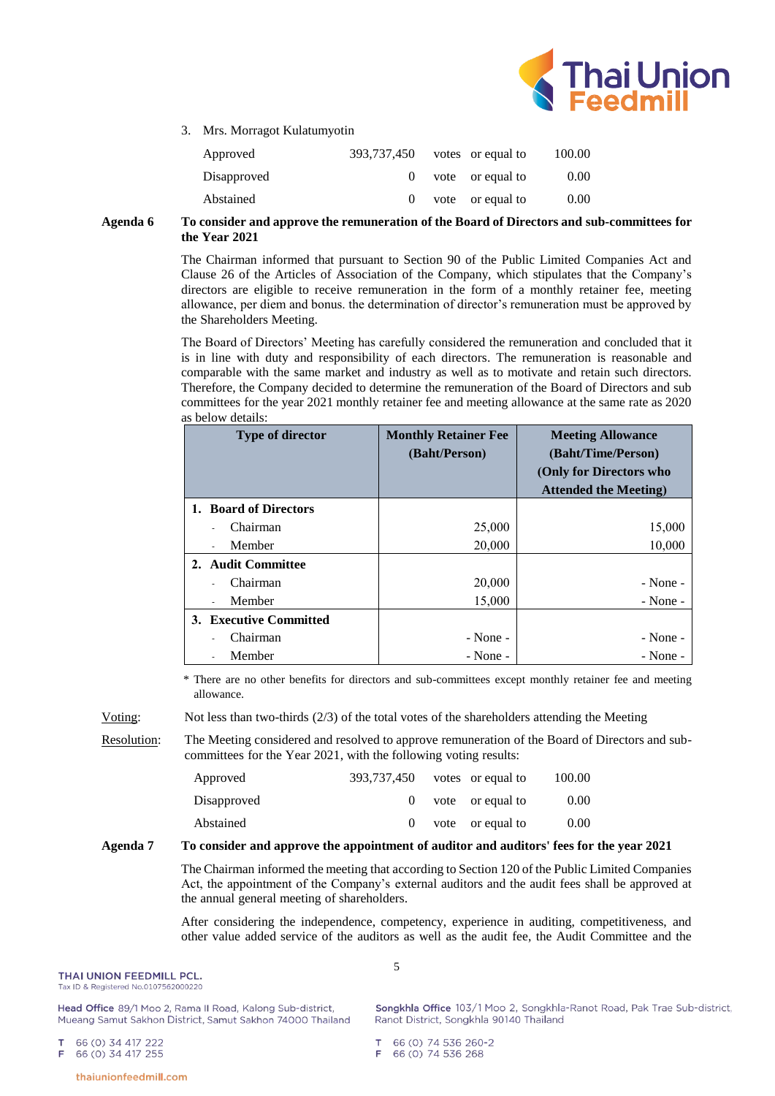

3. Mrs. Morragot Kulatumyotin

| Approved    | 393.737.450 | votes or equal to | 100.00 |
|-------------|-------------|-------------------|--------|
| Disapproved |             | vote or equal to  | 0.00   |
| Abstained   |             | vote or equal to  | 0.00   |

**Agenda 6 To consider and approve the remuneration of the Board of Directors and sub-committees for the Year 2021**

> The Chairman informed that pursuant to Section 90 of the Public Limited Companies Act and Clause 26 of the Articles of Association of the Company, which stipulates that the Company's directors are eligible to receive remuneration in the form of a monthly retainer fee, meeting allowance, per diem and bonus. the determination of director's remuneration must be approved by the Shareholders Meeting.

> The Board of Directors' Meeting has carefully considered the remuneration and concluded that it is in line with duty and responsibility of each directors. The remuneration is reasonable and comparable with the same market and industry as well as to motivate and retain such directors. Therefore, the Company decided to determine the remuneration of the Board of Directors and sub committees for the year 2021 monthly retainer fee and meeting allowance at the same rate as 2020 as below details:

| <b>Type of director</b> | <b>Monthly Retainer Fee</b><br>(Baht/Person) | <b>Meeting Allowance</b><br>(Baht/Time/Person)<br>(Only for Directors who<br><b>Attended the Meeting</b> ) |
|-------------------------|----------------------------------------------|------------------------------------------------------------------------------------------------------------|
| 1. Board of Directors   |                                              |                                                                                                            |
| Chairman                | 25,000                                       | 15,000                                                                                                     |
| Member                  | 20,000                                       | 10,000                                                                                                     |
| 2. Audit Committee      |                                              |                                                                                                            |
| Chairman                | 20,000                                       | $-$ None $-$                                                                                               |
| Member                  | 15,000                                       | $-$ None $-$                                                                                               |
| 3. Executive Committed  |                                              |                                                                                                            |
| Chairman                | $-$ None $-$                                 | $-$ None $-$                                                                                               |
| Member                  | $-None -$                                    | $-$ None $-$                                                                                               |

\* There are no other benefits for directors and sub-committees except monthly retainer fee and meeting allowance.

Voting: Not less than two-thirds (2/3) of the total votes of the shareholders attending the Meeting

Resolution: The Meeting considered and resolved to approve remuneration of the Board of Directors and subcommittees for the Year 2021, with the following voting results:

| Approved    | 393,737,450 | votes or equal to | 100.00 |
|-------------|-------------|-------------------|--------|
| Disapproved |             | vote or equal to  | 0.00   |
| Abstained   |             | vote or equal to  | 0.00   |

## **Agenda 7 To consider and approve the appointment of auditor and auditors' fees for the year 2021**

5

The Chairman informed the meeting that according to Section 120 of the Public Limited Companies Act, the appointment of the Company's external auditors and the audit fees shall be approved at the annual general meeting of shareholders.

After considering the independence, competency, experience in auditing, competitiveness, and other value added service of the auditors as well as the audit fee, the Audit Committee and the

#### THAI UNION FEEDMILL PCL.

Tax ID & Registered No.0107562000220

Head Office 89/1 Moo 2, Rama II Road, Kalong Sub-district, Mueang Samut Sakhon District, Samut Sakhon 74000 Thailand

66 (0) 34 417 222

 $\mathbf T$ 

E

Songkhla Office 103/1 Moo 2, Songkhla-Ranot Road, Pak Trae Sub-district, Ranot District, Songkhla 90140 Thailand

66 (0) 34 417 255

thaiunionfeedmill.com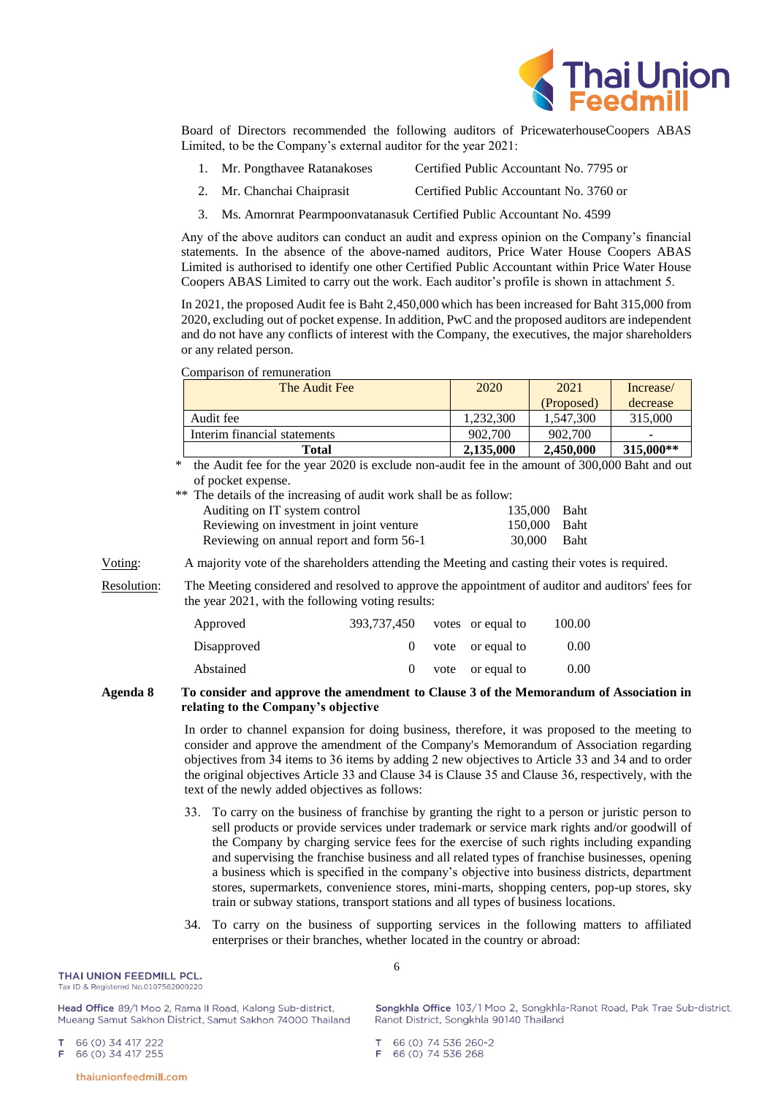

Board of Directors recommended the following auditors of PricewaterhouseCoopers ABAS Limited, to be the Company's external auditor for the year 2021:

- 1. Mr. Pongthavee Ratanakoses Certified Public Accountant No. 7795 or
- 2. Mr. Chanchai Chaiprasit Certified Public Accountant No. 3760 or
- 3. Ms. Amornrat Pearmpoonvatanasuk Certified Public Accountant No. 4599

Any of the above auditors can conduct an audit and express opinion on the Company's financial statements. In the absence of the above-named auditors, Price Water House Coopers ABAS Limited is authorised to identify one other Certified Public Accountant within Price Water House Coopers ABAS Limited to carry out the work. Each auditor's profile is shown in attachment 5.

In 2021, the proposed Audit fee is Baht 2,450,000 which has been increased for Baht 315,000 from 2020, excluding out of pocket expense. In addition, PwC and the proposed auditors are independent and do not have any conflicts of interest with the Company, the executives, the major shareholders or any related person.

Comparison of remuneration

| The Audit Fee                | 2020      | 2021       | Increase/                |
|------------------------------|-----------|------------|--------------------------|
|                              |           | (Proposed) | decrease                 |
| Audit fee                    | 1.232.300 | 1.547.300  | 315,000                  |
| Interim financial statements | 902,700   | 902,700    | $\overline{\phantom{0}}$ |
| Total                        | 2,135,000 | 2.450,000  | 315,000**                |

the Audit fee for the year 2020 is exclude non-audit fee in the amount of 300,000 Baht and out of pocket expense.

| ** The details of the increasing of audit work shall be as follow: |              |             |
|--------------------------------------------------------------------|--------------|-------------|
| Auditing on IT system control                                      | 135,000 Baht |             |
| Reviewing on investment in joint venture                           | 150,000 Baht |             |
| Reviewing on annual report and form 56-1                           | 30.000       | <b>Baht</b> |

Voting: A majority vote of the shareholders attending the Meeting and casting their votes is required.

Resolution: The Meeting considered and resolved to approve the appointment of auditor and auditors' fees for the year 2021, with the following voting results:

| 393.737.450 |  | 100.00                                                        |
|-------------|--|---------------------------------------------------------------|
|             |  | 0.00                                                          |
|             |  | 0.00                                                          |
|             |  | votes or equal to<br>$0$ vote or equal to<br>vote or equal to |

# **Agenda 8 To consider and approve the amendment to Clause 3 of the Memorandum of Association in relating to the Company's objective**

In order to channel expansion for doing business, therefore, it was proposed to the meeting to consider and approve the amendment of the Company's Memorandum of Association regarding objectives from 34 items to 36 items by adding 2 new objectives to Article 33 and 34 and to order the original objectives Article 33 and Clause 34 is Clause 35 and Clause 36, respectively, with the text of the newly added objectives as follows:

- 33. To carry on the business of franchise by granting the right to a person or juristic person to sell products or provide services under trademark or service mark rights and/or goodwill of the Company by charging service fees for the exercise of such rights including expanding and supervising the franchise business and all related types of franchise businesses, opening a business which is specified in the company's objective into business districts, department stores, supermarkets, convenience stores, mini-marts, shopping centers, pop-up stores, sky train or subway stations, transport stations and all types of business locations.
- 34. To carry on the business of supporting services in the following matters to affiliated enterprises or their branches, whether located in the country or abroad:

| <b>THAI UNION FEEDMILL PCL.</b>      |
|--------------------------------------|
| Tax ID & Registered No.0107562000220 |

Head Office 89/1 Moo 2, Rama II Road, Kalong Sub-district, Mueang Samut Sakhon District, Samut Sakhon 74000 Thailand

66 (0) 34 417 222 T 66 (0) 34 417 255 Е

6

Songkhla Office 103/1 Moo 2, Songkhla-Ranot Road, Pak Trae Sub-district, Ranot District, Songkhla 90140 Thailand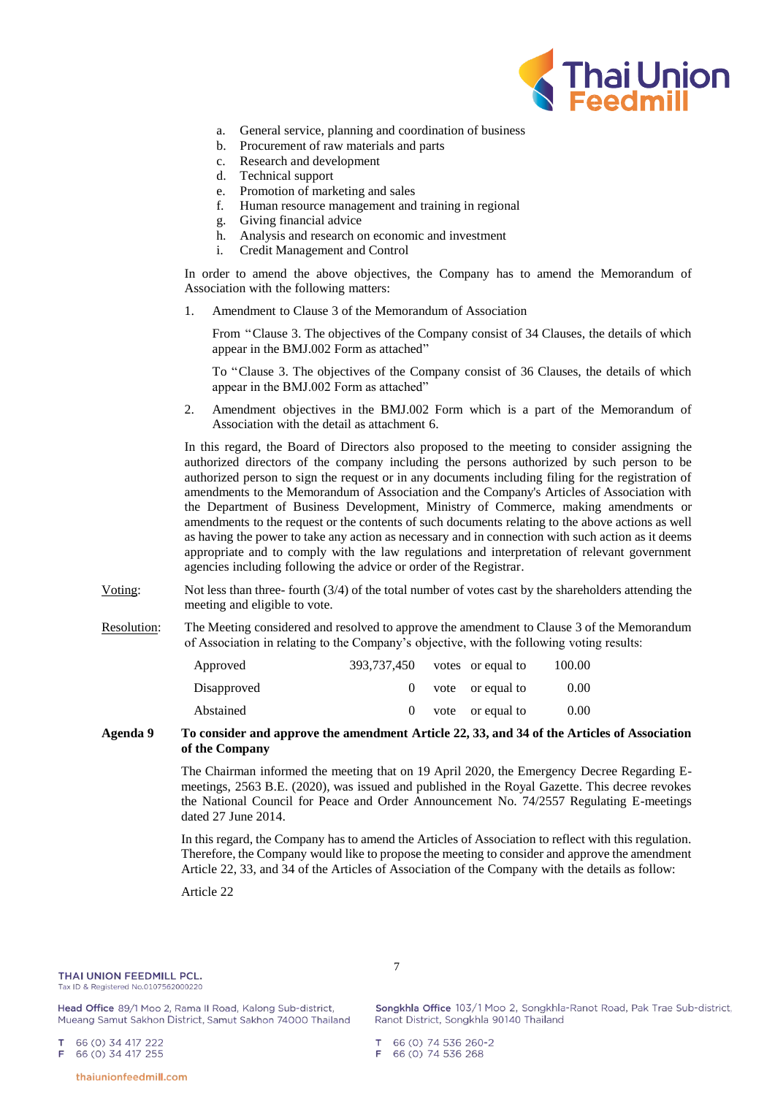

- a. General service, planning and coordination of business
- b. Procurement of raw materials and parts
- c. Research and development
- d. Technical support
- e. Promotion of marketing and sales
- f. Human resource management and training in regional
- g. Giving financial advice
- h. Analysis and research on economic and investment
- i. Credit Management and Control

In order to amend the above objectives, the Company has to amend the Memorandum of Association with the following matters:

1. Amendment to Clause 3 of the Memorandum of Association

From "Clause 3. The objectives of the Company consist of 34 Clauses, the details of which appear in the BMJ.002 Form as attached"

To "Clause 3. The objectives of the Company consist of 36 Clauses, the details of which appear in the BMJ.002 Form as attached"

2. Amendment objectives in the BMJ.002 Form which is a part of the Memorandum of Association with the detail as attachment 6.

In this regard, the Board of Directors also proposed to the meeting to consider assigning the authorized directors of the company including the persons authorized by such person to be authorized person to sign the request or in any documents including filing for the registration of amendments to the Memorandum of Association and the Company's Articles of Association with the Department of Business Development, Ministry of Commerce, making amendments or amendments to the request or the contents of such documents relating to the above actions as well as having the power to take any action as necessary and in connection with such action as it deems appropriate and to comply with the law regulations and interpretation of relevant government agencies including following the advice or order of the Registrar.

- Voting: Not less than three- fourth (3/4) of the total number of votes cast by the shareholders attending the meeting and eligible to vote.
- Resolution: The Meeting considered and resolved to approve the amendment to Clause 3 of the Memorandum of Association in relating to the Company's objective, with the following voting results:

|  | 100.00                                                                    |
|--|---------------------------------------------------------------------------|
|  | 0.00                                                                      |
|  | 0.00                                                                      |
|  | 393,737,450 votes or equal to<br>$0$ vote or equal to<br>vote or equal to |

## **Agenda 9 To consider and approve the amendment Article 22, 33, and 34 of the Articles of Association of the Company**

7

The Chairman informed the meeting that on 19 April 2020, the Emergency Decree Regarding Emeetings, 2563 B.E. (2020), was issued and published in the Royal Gazette. This decree revokes the National Council for Peace and Order Announcement No. 74/2557 Regulating E-meetings dated 27 June 2014.

In this regard, the Company has to amend the Articles of Association to reflect with this regulation. Therefore, the Company would like to propose the meeting to consider and approve the amendment Article 22, 33, and 34 of the Articles of Association of the Company with the details as follow:

Article 22

## THAI UNION FEEDMILL PCL.

Tax ID & Registered No.0107562000220

Head Office 89/1 Moo 2, Rama II Road, Kalong Sub-district, Mueang Samut Sakhon District, Samut Sakhon 74000 Thailand

66 (0) 34 417 222 66 (0) 34 417 255



thaiunionfeedmill.com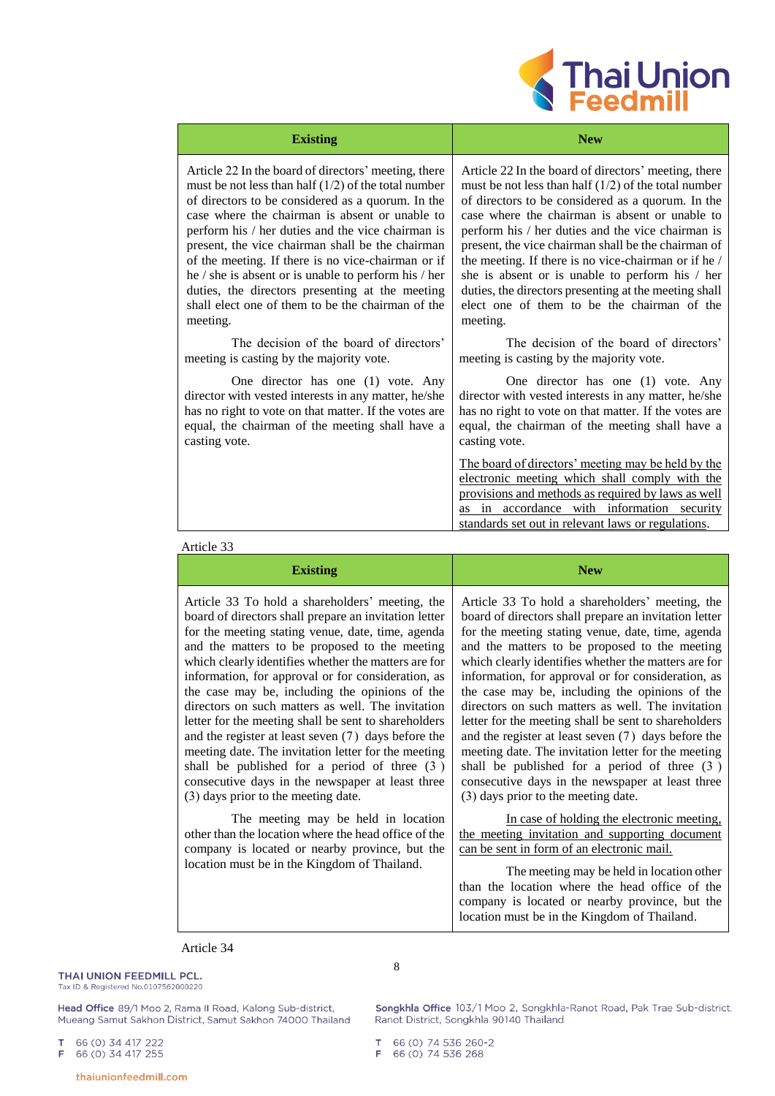

| <b>Existing</b>                                        | <b>New</b>                                                                                                                                                                                                                                                     |
|--------------------------------------------------------|----------------------------------------------------------------------------------------------------------------------------------------------------------------------------------------------------------------------------------------------------------------|
| Article 22 In the board of directors' meeting, there   | Article 22 In the board of directors' meeting, there                                                                                                                                                                                                           |
| must be not less than half $(1/2)$ of the total number | must be not less than half $(1/2)$ of the total number                                                                                                                                                                                                         |
| of directors to be considered as a quorum. In the      | of directors to be considered as a quorum. In the                                                                                                                                                                                                              |
| case where the chairman is absent or unable to         | case where the chairman is absent or unable to                                                                                                                                                                                                                 |
| perform his / her duties and the vice chairman is      | perform his / her duties and the vice chairman is                                                                                                                                                                                                              |
| present, the vice chairman shall be the chairman       | present, the vice chairman shall be the chairman of                                                                                                                                                                                                            |
| of the meeting. If there is no vice-chairman or if     | the meeting. If there is no vice-chairman or if he /                                                                                                                                                                                                           |
| he / she is absent or is unable to perform his / her   | she is absent or is unable to perform his / her                                                                                                                                                                                                                |
| duties, the directors presenting at the meeting        | duties, the directors presenting at the meeting shall                                                                                                                                                                                                          |
| shall elect one of them to be the chairman of the      | elect one of them to be the chairman of the                                                                                                                                                                                                                    |
| meeting.                                               | meeting.                                                                                                                                                                                                                                                       |
| The decision of the board of directors'                | The decision of the board of directors'                                                                                                                                                                                                                        |
| meeting is casting by the majority vote.               | meeting is casting by the majority vote.                                                                                                                                                                                                                       |
| One director has one (1) vote. Any                     | One director has one (1) vote. Any                                                                                                                                                                                                                             |
| director with vested interests in any matter, he/she   | director with vested interests in any matter, he/she                                                                                                                                                                                                           |
| has no right to vote on that matter. If the votes are  | has no right to vote on that matter. If the votes are                                                                                                                                                                                                          |
| equal, the chairman of the meeting shall have a        | equal, the chairman of the meeting shall have a                                                                                                                                                                                                                |
| casting vote.                                          | casting vote.                                                                                                                                                                                                                                                  |
|                                                        | The board of directors' meeting may be held by the<br>electronic meeting which shall comply with the<br>provisions and methods as required by laws as well<br>as in accordance with information security<br>standards set out in relevant laws or regulations. |

# Article 33

| <b>Existing</b>                                                                                                                                                                                                                                                                                                                                                                                                                                                                                                                                                                                                                                                                                                                                        | <b>New</b>                                                                                                                                                                                                                                                                                                                                                                                                                                                                                                                                                                                                                                                                                                                                           |
|--------------------------------------------------------------------------------------------------------------------------------------------------------------------------------------------------------------------------------------------------------------------------------------------------------------------------------------------------------------------------------------------------------------------------------------------------------------------------------------------------------------------------------------------------------------------------------------------------------------------------------------------------------------------------------------------------------------------------------------------------------|------------------------------------------------------------------------------------------------------------------------------------------------------------------------------------------------------------------------------------------------------------------------------------------------------------------------------------------------------------------------------------------------------------------------------------------------------------------------------------------------------------------------------------------------------------------------------------------------------------------------------------------------------------------------------------------------------------------------------------------------------|
| Article 33 To hold a shareholders' meeting, the<br>board of directors shall prepare an invitation letter<br>for the meeting stating venue, date, time, agenda<br>and the matters to be proposed to the meeting<br>which clearly identifies whether the matters are for<br>information, for approval or for consideration, as<br>the case may be, including the opinions of the<br>directors on such matters as well. The invitation<br>letter for the meeting shall be sent to shareholders<br>and the register at least seven (7) days before the<br>meeting date. The invitation letter for the meeting<br>shall be published for a period of three $(3)$<br>consecutive days in the newspaper at least three<br>(3) days prior to the meeting date. | Article 33 To hold a shareholders' meeting, the<br>board of directors shall prepare an invitation letter<br>for the meeting stating venue, date, time, agenda<br>and the matters to be proposed to the meeting<br>which clearly identifies whether the matters are for<br>information, for approval or for consideration, as<br>the case may be, including the opinions of the<br>directors on such matters as well. The invitation<br>letter for the meeting shall be sent to shareholders<br>and the register at least seven (7) days before the<br>meeting date. The invitation letter for the meeting<br>shall be published for a period of three (3)<br>consecutive days in the newspaper at least three<br>(3) days prior to the meeting date. |
| The meeting may be held in location<br>other than the location where the head office of the<br>company is located or nearby province, but the<br>location must be in the Kingdom of Thailand.                                                                                                                                                                                                                                                                                                                                                                                                                                                                                                                                                          | In case of holding the electronic meeting,<br>the meeting invitation and supporting document<br>can be sent in form of an electronic mail.<br>The meeting may be held in location other<br>than the location where the head office of the<br>company is located or nearby province, but the<br>location must be in the Kingdom of Thailand.                                                                                                                                                                                                                                                                                                                                                                                                          |

# Article 34

THAI UNION FEEDMILL PCL. Tax ID & Registered No.0107562000220 8

Head Office 89/1 Moo 2, Rama II Road, Kalong Sub-district, Mueang Samut Sakhon District, Samut Sakhon 74000 Thailand Songkhla Office 103/1 Moo 2, Songkhla-Ranot Road, Pak Trae Sub-district, Ranot District, Songkhla 90140 Thailand

66 (0) 34 417 222<br>66 (0) 34 417 255  $\top$  $\mathsf F$ 

T 66 (0) 74 536 260-2<br>F 66 (0) 74 536 268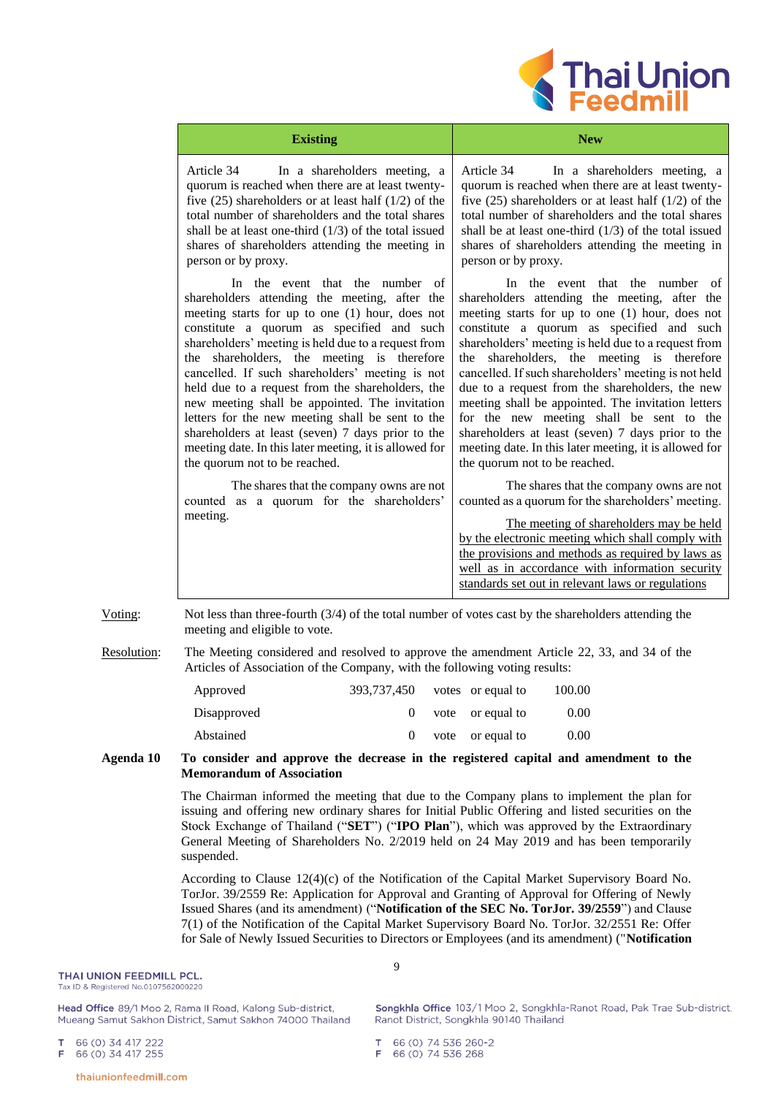

| <b>Existing</b>                                                                                                                                                                                                                                                                                                                                                                                                                                                                                                                                                                                                                                    | <b>New</b>                                                                                                                                                                                                                                                                                                                                                                                                                                                                                                                                                                                                                                            |
|----------------------------------------------------------------------------------------------------------------------------------------------------------------------------------------------------------------------------------------------------------------------------------------------------------------------------------------------------------------------------------------------------------------------------------------------------------------------------------------------------------------------------------------------------------------------------------------------------------------------------------------------------|-------------------------------------------------------------------------------------------------------------------------------------------------------------------------------------------------------------------------------------------------------------------------------------------------------------------------------------------------------------------------------------------------------------------------------------------------------------------------------------------------------------------------------------------------------------------------------------------------------------------------------------------------------|
| Article 34<br>In a shareholders meeting, a<br>quorum is reached when there are at least twenty-<br>five $(25)$ shareholders or at least half $(1/2)$ of the<br>total number of shareholders and the total shares<br>shall be at least one-third $(1/3)$ of the total issued<br>shares of shareholders attending the meeting in<br>person or by proxy.                                                                                                                                                                                                                                                                                              | Article 34<br>In a shareholders meeting, a<br>quorum is reached when there are at least twenty-<br>five $(25)$ shareholders or at least half $(1/2)$ of the<br>total number of shareholders and the total shares<br>shall be at least one-third $(1/3)$ of the total issued<br>shares of shareholders attending the meeting in<br>person or by proxy.                                                                                                                                                                                                                                                                                                 |
| In the event that the number of<br>shareholders attending the meeting, after the<br>meeting starts for up to one (1) hour, does not<br>constitute a quorum as specified and such<br>shareholders' meeting is held due to a request from<br>the shareholders, the meeting is therefore<br>cancelled. If such shareholders' meeting is not<br>held due to a request from the shareholders, the<br>new meeting shall be appointed. The invitation<br>letters for the new meeting shall be sent to the<br>shareholders at least (seven) 7 days prior to the<br>meeting date. In this later meeting, it is allowed for<br>the quorum not to be reached. | In the event that the number of<br>shareholders attending the meeting, after the<br>meeting starts for up to one (1) hour, does not<br>constitute a quorum as specified and such<br>shareholders' meeting is held due to a request from<br>shareholders, the meeting is therefore<br>the<br>cancelled. If such shareholders' meeting is not held<br>due to a request from the shareholders, the new<br>meeting shall be appointed. The invitation letters<br>for the new meeting shall be sent to the<br>shareholders at least (seven) 7 days prior to the<br>meeting date. In this later meeting, it is allowed for<br>the quorum not to be reached. |
| The shares that the company owns are not<br>counted as a quorum for the shareholders'<br>meeting.                                                                                                                                                                                                                                                                                                                                                                                                                                                                                                                                                  | The shares that the company owns are not<br>counted as a quorum for the shareholders' meeting.<br>The meeting of shareholders may be held<br>by the electronic meeting which shall comply with<br>the provisions and methods as required by laws as<br>well as in accordance with information security<br>standards set out in relevant laws or regulations                                                                                                                                                                                                                                                                                           |

Voting: Not less than three-fourth (3/4) of the total number of votes cast by the shareholders attending the meeting and eligible to vote.

Resolution: The Meeting considered and resolved to approve the amendment Article 22, 33, and 34 of the Articles of Association of the Company, with the following voting results:

| Approved    | 393.737.450 | votes or equal to | 100.00 |
|-------------|-------------|-------------------|--------|
| Disapproved |             | vote or equal to  | 0.00   |
| Abstained   |             | vote or equal to  | 0.00   |

## **Agenda 10 To consider and approve the decrease in the registered capital and amendment to the Memorandum of Association**

The Chairman informed the meeting that due to the Company plans to implement the plan for issuing and offering new ordinary shares for Initial Public Offering and listed securities on the Stock Exchange of Thailand ("**SET**") ("**IPO Plan**"), which was approved by the Extraordinary General Meeting of Shareholders No. 2/2019 held on 24 May 2019 and has been temporarily suspended.

According to Clause 12(4)(c) of the Notification of the Capital Market Supervisory Board No. TorJor. 39/2559 Re: Application for Approval and Granting of Approval for Offering of Newly Issued Shares (and its amendment) ("**Notification of the SEC No. TorJor. 39/2559**") and Clause 7(1) of the Notification of the Capital Market Supervisory Board No. TorJor. 32/2551 Re: Offer for Sale of Newly Issued Securities to Directors or Employees (and its amendment) ("**Notification** 

### THAI UNION FEEDMILL PCL.

Tax ID & Registered No.0107562000220

Head Office 89/1 Moo 2, Rama II Road, Kalong Sub-district, Mueang Samut Sakhon District, Samut Sakhon 74000 Thailand

66 (0) 34 417 222  $\mathbf T$ 66 (0) 34 417 255 E

9

Songkhla Office 103/1 Moo 2, Songkhla-Ranot Road, Pak Trae Sub-district, Ranot District, Songkhla 90140 Thailand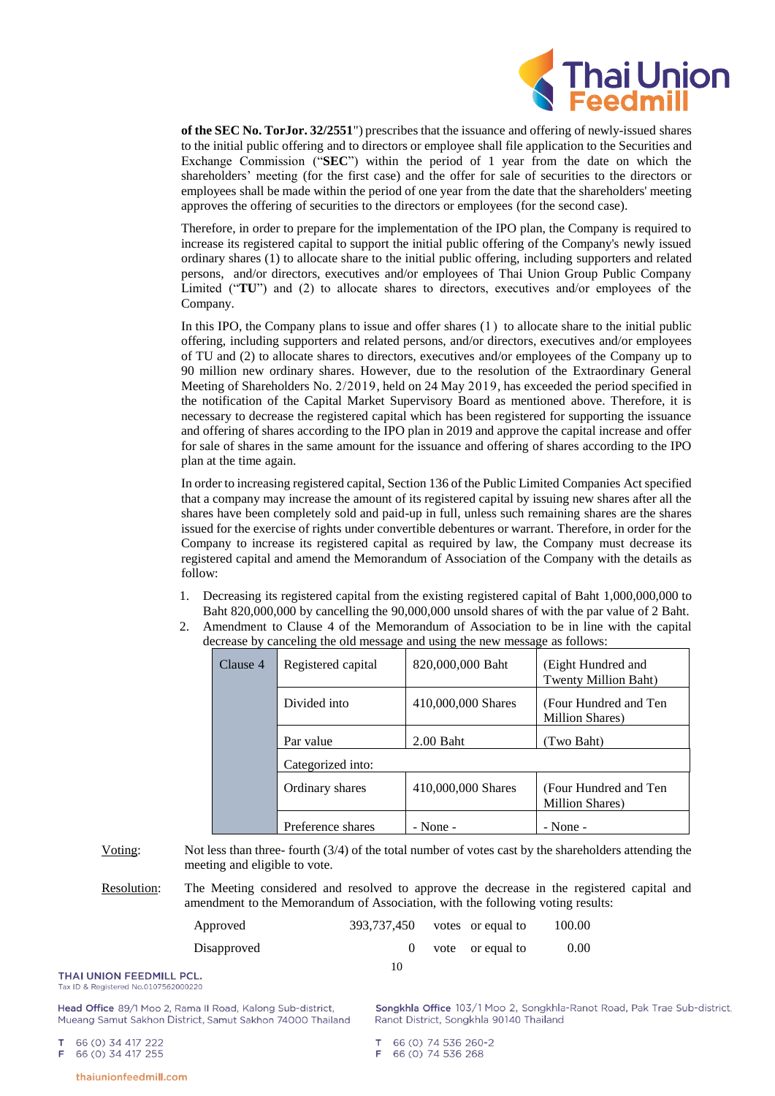

**of the SEC No. TorJor. 32/2551**") prescribes that the issuance and offering of newly-issued shares to the initial public offering and to directors or employee shall file application to the Securities and Exchange Commission ("**SEC**") within the period of 1 year from the date on which the shareholders' meeting (for the first case) and the offer for sale of securities to the directors or employees shall be made within the period of one year from the date that the shareholders' meeting approves the offering of securities to the directors or employees (for the second case).

Therefore, in order to prepare for the implementation of the IPO plan, the Company is required to increase its registered capital to support the initial public offering of the Company's newly issued ordinary shares (1) to allocate share to the initial public offering, including supporters and related persons, and/or directors, executives and/or employees of Thai Union Group Public Company Limited ("**TU**") and (2) to allocate shares to directors, executives and/or employees of the Company.

In this IPO, the Company plans to issue and offer shares (1) to allocate share to the initial public offering, including supporters and related persons, and/or directors, executives and/or employees of TU and (2) to allocate shares to directors, executives and/or employees of the Company up to 90 million new ordinary shares. However, due to the resolution of the Extraordinary General Meeting of Shareholders No. 2/2019, held on 24 May 2019, has exceeded the period specified in the notification of the Capital Market Supervisory Board as mentioned above. Therefore, it is necessary to decrease the registered capital which has been registered for supporting the issuance and offering of shares according to the IPO plan in 2019 and approve the capital increase and offer for sale of shares in the same amount for the issuance and offering of shares according to the IPO plan at the time again.

In order to increasing registered capital, Section 136 of the Public Limited Companies Act specified that a company may increase the amount of its registered capital by issuing new shares after all the shares have been completely sold and paid-up in full, unless such remaining shares are the shares issued for the exercise of rights under convertible debentures or warrant. Therefore, in order for the Company to increase its registered capital as required by law, the Company must decrease its registered capital and amend the Memorandum of Association of the Company with the details as follow:

- 1. Decreasing its registered capital from the existing registered capital of Baht 1,000,000,000 to Baht 820,000,000 by cancelling the 90,000,000 unsold shares of with the par value of 2 Baht.
- 2. Amendment to Clause 4 of the Memorandum of Association to be in line with the capital decrease by canceling the old message and using the new message as follows:

| Clause 4 | Registered capital | 820,000,000 Baht   | Eight Hundred and<br>Twenty Million Baht) |
|----------|--------------------|--------------------|-------------------------------------------|
|          | Divided into       | 410,000,000 Shares | (Four Hundred and Ten)<br>Million Shares) |
|          | Par value          | $2.00$ Baht        | (Two Baht)                                |
|          | Categorized into:  |                    |                                           |
|          | Ordinary shares    | 410,000,000 Shares | (Four Hundred and Ten<br>Million Shares)  |
|          | Preference shares  | - None -           | $-$ None $-$                              |

Voting: Not less than three- fourth (3/4) of the total number of votes cast by the shareholders attending the meeting and eligible to vote.

Resolution: The Meeting considered and resolved to approve the decrease in the registered capital and amendment to the Memorandum of Association, with the following voting results:

| Approved    | 393,737,450 votes or equal to |                  | 100.00 |
|-------------|-------------------------------|------------------|--------|
| Disapproved |                               | vote or equal to | 0.00   |
| L.          | 10                            |                  |        |

THAI UNION FEEDMILL PCL Tax ID & Registered No.0107562000220

Head Office 89/1 Moo 2, Rama II Road, Kalong Sub-district, Mueang Samut Sakhon District, Samut Sakhon 74000 Thailand

66 (0) 34 417 222 66 (0) 34 417 255 Е

Songkhla Office 103/1 Moo 2, Songkhla-Ranot Road, Pak Trae Sub-district, Ranot District, Songkhla 90140 Thailand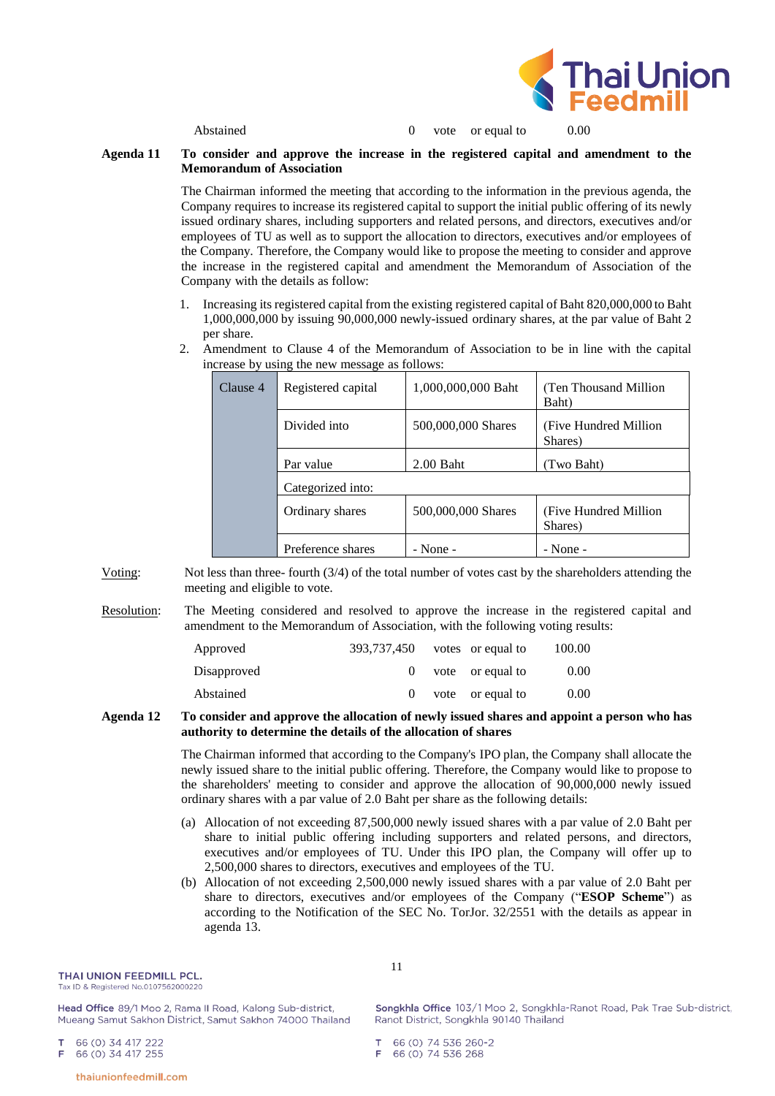

Abstained 0 vote or equal to 0.00

## **Agenda 11 To consider and approve the increase in the registered capital and amendment to the Memorandum of Association**

The Chairman informed the meeting that according to the information in the previous agenda, the Company requires to increase its registered capital to support the initial public offering of its newly issued ordinary shares, including supporters and related persons, and directors, executives and/or employees of TU as well as to support the allocation to directors, executives and/or employees of the Company. Therefore, the Company would like to propose the meeting to consider and approve the increase in the registered capital and amendment the Memorandum of Association of the Company with the details as follow:

- 1. Increasing its registered capital from the existing registered capital of Baht 820,000,000 to Baht 1,000,000,000 by issuing 90,000,000 newly-issued ordinary shares, at the par value of Baht 2 per share.
- 2. Amendment to Clause 4 of the Memorandum of Association to be in line with the capital increase by using the new message as follows:

| Clause 4 | Registered capital | 1,000,000,000 Baht | (Ten Thousand Million)<br>Baht)   |
|----------|--------------------|--------------------|-----------------------------------|
|          | Divided into       | 500,000,000 Shares | (Five Hundred Million)<br>Shares) |
|          | Par value          | $2.00$ Baht        | (Two Baht)                        |
|          | Categorized into:  |                    |                                   |
|          | Ordinary shares    | 500,000,000 Shares | (Five Hundred Million)<br>Shares) |
|          | Preference shares  | $-$ None $-$       | $-$ None $-$                      |

Voting: Not less than three- fourth (3/4) of the total number of votes cast by the shareholders attending the meeting and eligible to vote.

Resolution: The Meeting considered and resolved to approve the increase in the registered capital and amendment to the Memorandum of Association, with the following voting results:

| Approved    | 393,737,450 votes or equal to |                      | 100.00 |
|-------------|-------------------------------|----------------------|--------|
| Disapproved |                               | $0$ vote or equal to | 0.00   |
| Abstained   | $\Omega$                      | vote or equal to     | 0.00   |

## **Agenda 12 To consider and approve the allocation of newly issued shares and appoint a person who has authority to determine the details of the allocation of shares**

The Chairman informed that according to the Company's IPO plan, the Company shall allocate the newly issued share to the initial public offering. Therefore, the Company would like to propose to the shareholders' meeting to consider and approve the allocation of 90,000,000 newly issued ordinary shares with a par value of 2.0 Baht per share as the following details:

- (a) Allocation of not exceeding 87,500,000 newly issued shares with a par value of 2.0 Baht per share to initial public offering including supporters and related persons, and directors, executives and/or employees of TU. Under this IPO plan, the Company will offer up to 2,500,000 shares to directors, executives and employees of the TU.
- (b) Allocation of not exceeding 2,500,000 newly issued shares with a par value of 2.0 Baht per share to directors, executives and/or employees of the Company ("**ESOP Scheme**") as according to the Notification of the SEC No. TorJor. 32/2551 with the details as appear in agenda 13.

#### THAI UNION FEEDMILL PCL.

Tax ID & Registered No.0107562000220

Head Office 89/1 Moo 2, Rama II Road, Kalong Sub-district, Mueang Samut Sakhon District, Samut Sakhon 74000 Thailand

66 (0) 34 417 222 66 (0) 34 417 255 Е

Songkhla Office 103/1 Moo 2, Songkhla-Ranot Road, Pak Trae Sub-district, Ranot District, Songkhla 90140 Thailand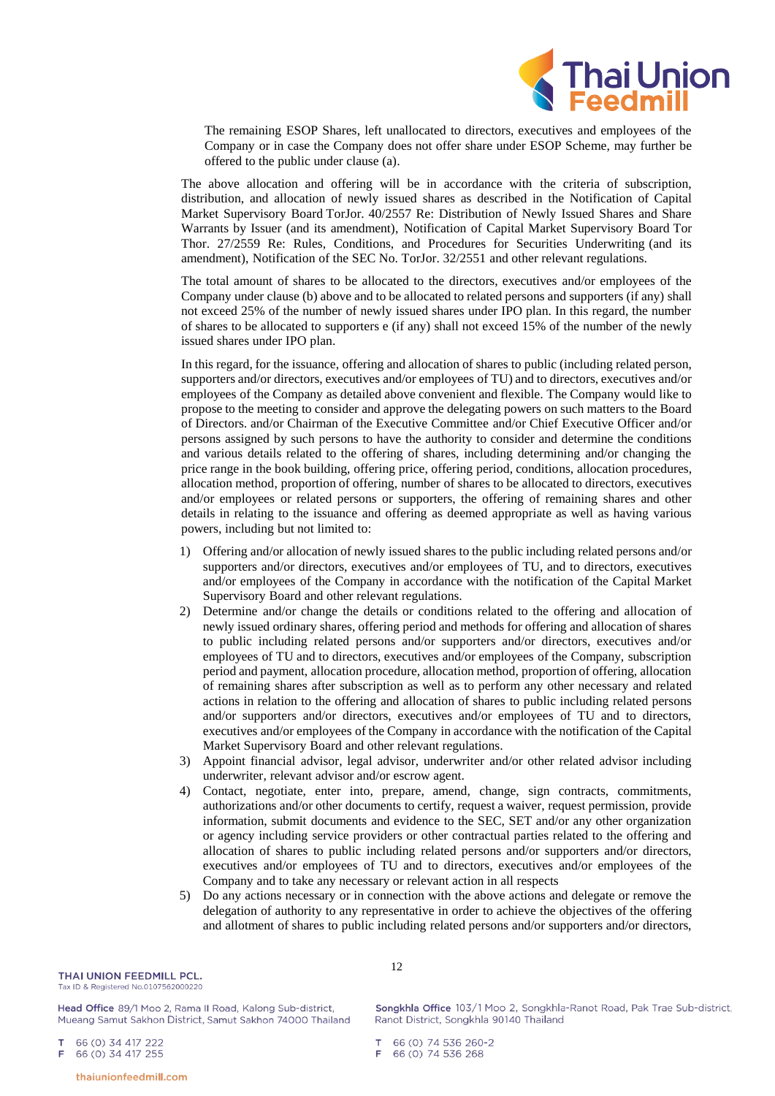

The remaining ESOP Shares, left unallocated to directors, executives and employees of the Company or in case the Company does not offer share under ESOP Scheme, may further be offered to the public under clause (a).

The above allocation and offering will be in accordance with the criteria of subscription, distribution, and allocation of newly issued shares as described in the Notification of Capital Market Supervisory Board TorJor. 40/2557 Re: Distribution of Newly Issued Shares and Share Warrants by Issuer (and its amendment), Notification of Capital Market Supervisory Board Tor Thor. 27/2559 Re: Rules, Conditions, and Procedures for Securities Underwriting (and its amendment), Notification of the SEC No. TorJor. 32/2551 and other relevant regulations.

The total amount of shares to be allocated to the directors, executives and/or employees of the Company under clause (b) above and to be allocated to related persons and supporters (if any) shall not exceed 25% of the number of newly issued shares under IPO plan. In this regard, the number of shares to be allocated to supporters e (if any) shall not exceed 15% of the number of the newly issued shares under IPO plan.

In this regard, for the issuance, offering and allocation of shares to public (including related person, supporters and/or directors, executives and/or employees of TU) and to directors, executives and/or employees of the Company as detailed above convenient and flexible. The Company would like to propose to the meeting to consider and approve the delegating powers on such matters to the Board of Directors. and/or Chairman of the Executive Committee and/or Chief Executive Officer and/or persons assigned by such persons to have the authority to consider and determine the conditions and various details related to the offering of shares, including determining and/or changing the price range in the book building, offering price, offering period, conditions, allocation procedures, allocation method, proportion of offering, number of shares to be allocated to directors, executives and/or employees or related persons or supporters, the offering of remaining shares and other details in relating to the issuance and offering as deemed appropriate as well as having various powers, including but not limited to:

- 1) Offering and/or allocation of newly issued shares to the public including related persons and/or supporters and/or directors, executives and/or employees of TU, and to directors, executives and/or employees of the Company in accordance with the notification of the Capital Market Supervisory Board and other relevant regulations.
- 2) Determine and/or change the details or conditions related to the offering and allocation of newly issued ordinary shares, offering period and methods for offering and allocation of shares to public including related persons and/or supporters and/or directors, executives and/or employees of TU and to directors, executives and/or employees of the Company, subscription period and payment, allocation procedure, allocation method, proportion of offering, allocation of remaining shares after subscription as well as to perform any other necessary and related actions in relation to the offering and allocation of shares to public including related persons and/or supporters and/or directors, executives and/or employees of TU and to directors, executives and/or employees of the Company in accordance with the notification of the Capital Market Supervisory Board and other relevant regulations.
- 3) Appoint financial advisor, legal advisor, underwriter and/or other related advisor including underwriter, relevant advisor and/or escrow agent.
- 4) Contact, negotiate, enter into, prepare, amend, change, sign contracts, commitments, authorizations and/or other documents to certify, request a waiver, request permission, provide information, submit documents and evidence to the SEC, SET and/or any other organization or agency including service providers or other contractual parties related to the offering and allocation of shares to public including related persons and/or supporters and/or directors, executives and/or employees of TU and to directors, executives and/or employees of the Company and to take any necessary or relevant action in all respects
- 5) Do any actions necessary or in connection with the above actions and delegate or remove the delegation of authority to any representative in order to achieve the objectives of the offering and allotment of shares to public including related persons and/or supporters and/or directors,

Head Office 89/1 Moo 2, Rama II Road, Kalong Sub-district, Mueang Samut Sakhon District, Samut Sakhon 74000 Thailand 12

Songkhla Office 103/1 Moo 2, Songkhla-Ranot Road, Pak Trae Sub-district, Ranot District, Songkhla 90140 Thailand

66 (0) 74 536 260-2 66 (0) 74 536 268

66 (0) 34 417 222 66 (0) 34 417 255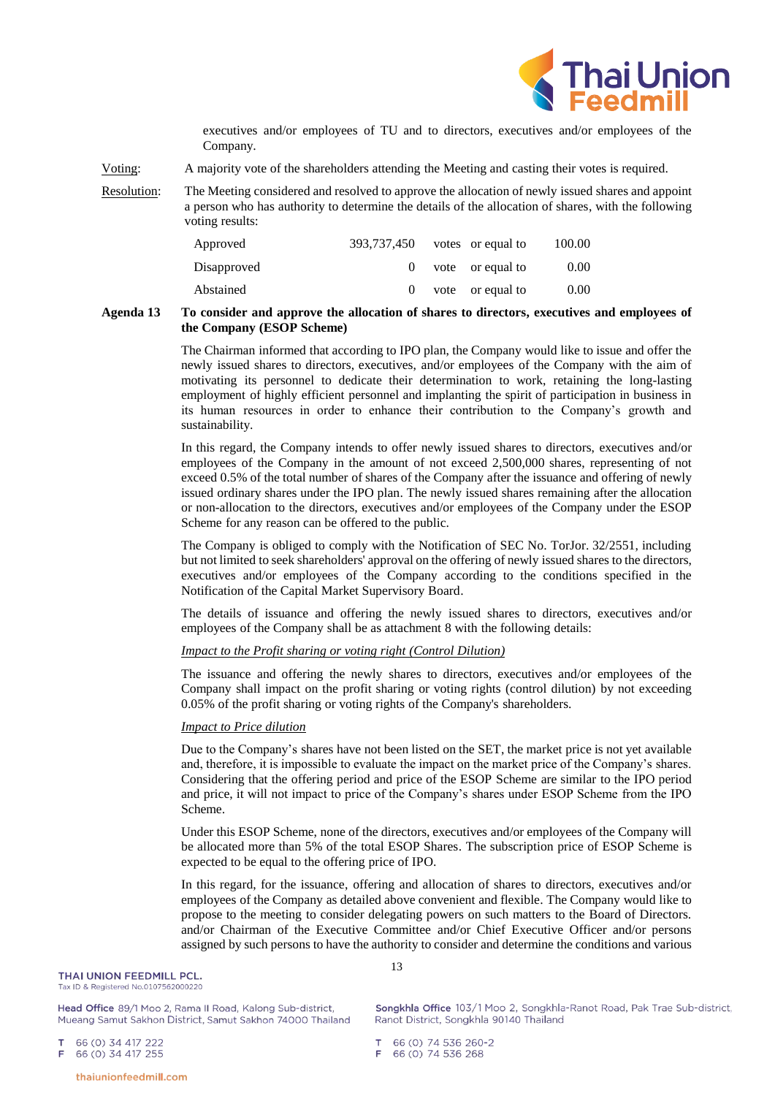

executives and/or employees of TU and to directors, executives and/or employees of the Company.

- Voting: A majority vote of the shareholders attending the Meeting and casting their votes is required.
- Resolution: The Meeting considered and resolved to approve the allocation of newly issued shares and appoint a person who has authority to determine the details of the allocation of shares, with the following voting results:

| Approved    | 393,737,450 | votes or equal to | 100.00 |
|-------------|-------------|-------------------|--------|
| Disapproved |             | vote or equal to  | 0.00   |
| Abstained   |             | vote or equal to  | 0.00   |

#### **Agenda 13 To consider and approve the allocation of shares to directors, executives and employees of the Company (ESOP Scheme)**

The Chairman informed that according to IPO plan, the Company would like to issue and offer the newly issued shares to directors, executives, and/or employees of the Company with the aim of motivating its personnel to dedicate their determination to work, retaining the long-lasting employment of highly efficient personnel and implanting the spirit of participation in business in its human resources in order to enhance their contribution to the Company's growth and sustainability.

In this regard, the Company intends to offer newly issued shares to directors, executives and/or employees of the Company in the amount of not exceed 2,500,000 shares, representing of not exceed 0.5% of the total number of shares of the Company after the issuance and offering of newly issued ordinary shares under the IPO plan. The newly issued shares remaining after the allocation or non-allocation to the directors, executives and/or employees of the Company under the ESOP Scheme for any reason can be offered to the public.

The Company is obliged to comply with the Notification of SEC No. TorJor. 32/2551, including but not limited to seek shareholders' approval on the offering of newly issued shares to the directors, executives and/or employees of the Company according to the conditions specified in the Notification of the Capital Market Supervisory Board.

The details of issuance and offering the newly issued shares to directors, executives and/or employees of the Company shall be as attachment 8 with the following details:

## *Impact to the Profit sharing or voting right (Control Dilution)*

The issuance and offering the newly shares to directors, executives and/or employees of the Company shall impact on the profit sharing or voting rights (control dilution) by not exceeding 0.05% of the profit sharing or voting rights of the Company's shareholders.

## *Impact to Price dilution*

Due to the Company's shares have not been listed on the SET, the market price is not yet available and, therefore, it is impossible to evaluate the impact on the market price of the Company's shares. Considering that the offering period and price of the ESOP Scheme are similar to the IPO period and price, it will not impact to price of the Company's shares under ESOP Scheme from the IPO Scheme.

Under this ESOP Scheme, none of the directors, executives and/or employees of the Company will be allocated more than 5% of the total ESOP Shares. The subscription price of ESOP Scheme is expected to be equal to the offering price of IPO.

In this regard, for the issuance, offering and allocation of shares to directors, executives and/or employees of the Company as detailed above convenient and flexible. The Company would like to propose to the meeting to consider delegating powers on such matters to the Board of Directors. and/or Chairman of the Executive Committee and/or Chief Executive Officer and/or persons assigned by such persons to have the authority to consider and determine the conditions and various

Head Office 89/1 Moo 2, Rama II Road, Kalong Sub-district, Mueang Samut Sakhon District, Samut Sakhon 74000 Thailand 13

Songkhla Office 103/1 Moo 2, Songkhla-Ranot Road, Pak Trae Sub-district, Ranot District, Songkhla 90140 Thailand

66 (0) 34 417 222 66 (0) 34 417 255 E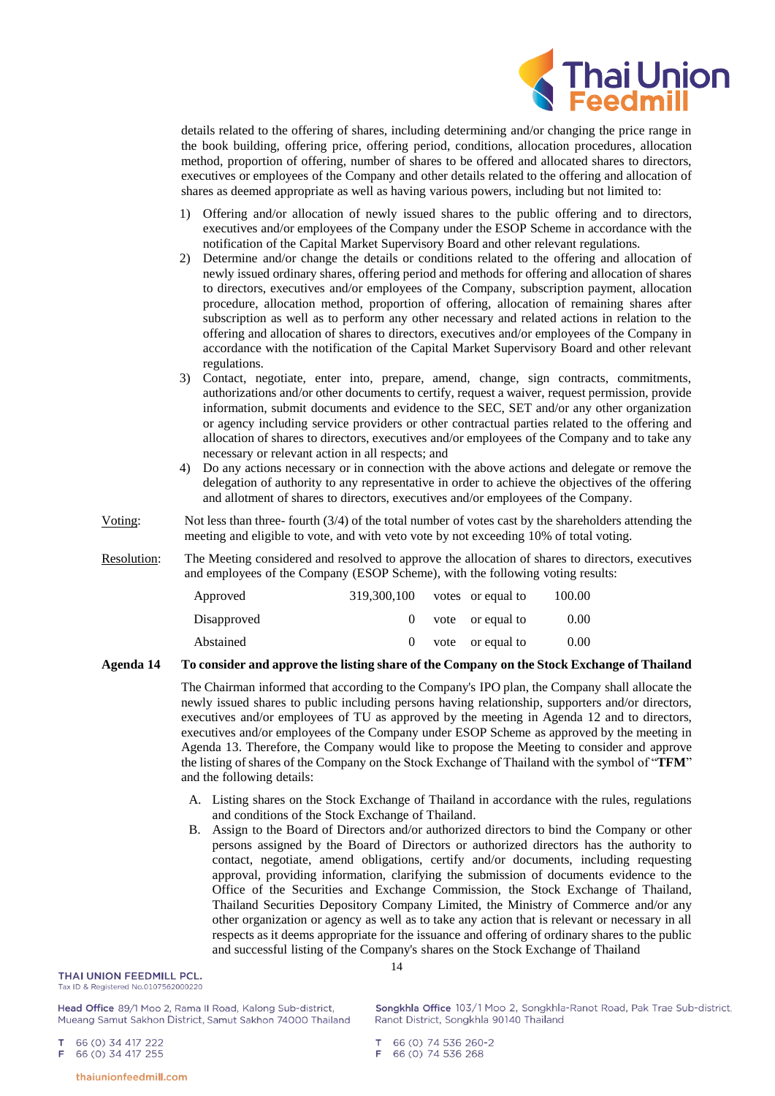

details related to the offering of shares, including determining and/or changing the price range in the book building, offering price, offering period, conditions, allocation procedures, allocation method, proportion of offering, number of shares to be offered and allocated shares to directors, executives or employees of the Company and other details related to the offering and allocation of shares as deemed appropriate as well as having various powers, including but not limited to:

- 1) Offering and/or allocation of newly issued shares to the public offering and to directors, executives and/or employees of the Company under the ESOP Scheme in accordance with the notification of the Capital Market Supervisory Board and other relevant regulations.
- 2) Determine and/or change the details or conditions related to the offering and allocation of newly issued ordinary shares, offering period and methods for offering and allocation of shares to directors, executives and/or employees of the Company, subscription payment, allocation procedure, allocation method, proportion of offering, allocation of remaining shares after subscription as well as to perform any other necessary and related actions in relation to the offering and allocation of shares to directors, executives and/or employees of the Company in accordance with the notification of the Capital Market Supervisory Board and other relevant regulations.
- 3) Contact, negotiate, enter into, prepare, amend, change, sign contracts, commitments, authorizations and/or other documents to certify, request a waiver, request permission, provide information, submit documents and evidence to the SEC, SET and/or any other organization or agency including service providers or other contractual parties related to the offering and allocation of shares to directors, executives and/or employees of the Company and to take any necessary or relevant action in all respects; and
- 4) Do any actions necessary or in connection with the above actions and delegate or remove the delegation of authority to any representative in order to achieve the objectives of the offering and allotment of shares to directors, executives and/or employees of the Company.
- Voting: Not less than three- fourth (3/4) of the total number of votes cast by the shareholders attending the meeting and eligible to vote, and with veto vote by not exceeding 10% of total voting.
- Resolution: The Meeting considered and resolved to approve the allocation of shares to directors, executives and employees of the Company (ESOP Scheme), with the following voting results:

| Approved    | 319,300,100 | votes or equal to    | 100.00 |
|-------------|-------------|----------------------|--------|
| Disapproved |             | $0$ vote or equal to | 0.00   |
| Abstained   |             | vote or equal to     | 0.00   |

#### **Agenda 14 To consider and approve the listing share of the Company on the Stock Exchange of Thailand**

The Chairman informed that according to the Company's IPO plan, the Company shall allocate the newly issued shares to public including persons having relationship, supporters and/or directors, executives and/or employees of TU as approved by the meeting in Agenda 12 and to directors, executives and/or employees of the Company under ESOP Scheme as approved by the meeting in Agenda 13. Therefore, the Company would like to propose the Meeting to consider and approve the listing of shares of the Company on the Stock Exchange of Thailand with the symbol of "**TFM**" and the following details:

- A. Listing shares on the Stock Exchange of Thailand in accordance with the rules, regulations and conditions of the Stock Exchange of Thailand.
- B. Assign to the Board of Directors and/or authorized directors to bind the Company or other persons assigned by the Board of Directors or authorized directors has the authority to contact, negotiate, amend obligations, certify and/or documents, including requesting approval, providing information, clarifying the submission of documents evidence to the Office of the Securities and Exchange Commission, the Stock Exchange of Thailand, Thailand Securities Depository Company Limited, the Ministry of Commerce and/or any other organization or agency as well as to take any action that is relevant or necessary in all respects as it deems appropriate for the issuance and offering of ordinary shares to the public and successful listing of the Company's shares on the Stock Exchange of Thailand

# THAI UNION FEEDMILL PCL.

Tax ID & Registered No.0107562000220

Head Office 89/1 Moo 2, Rama II Road, Kalong Sub-district, Mueang Samut Sakhon District, Samut Sakhon 74000 Thailand

66 (0) 34 417 222 66 (0) 34 417 255 Songkhla Office 103/1 Moo 2, Songkhla-Ranot Road, Pak Trae Sub-district, Ranot District, Songkhla 90140 Thailand